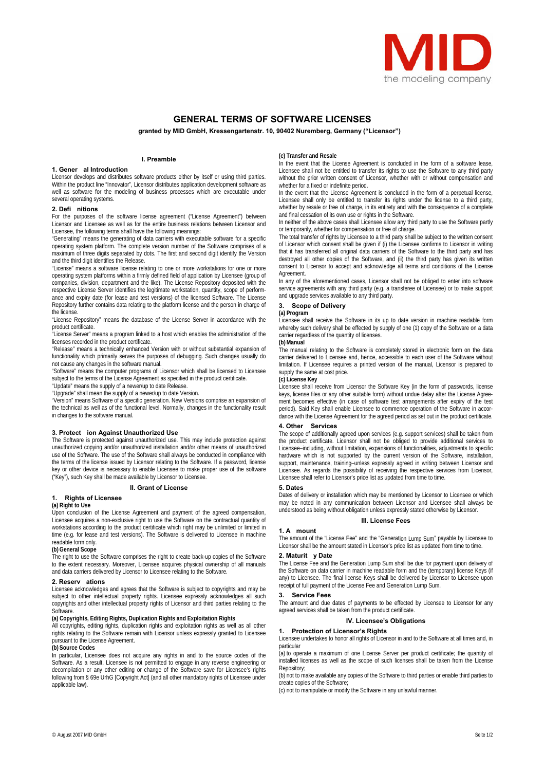

# **GENERAL TERMS OF SOFTWARE LICENSES**

**granted by MID GmbH, Kressengartenstr. 10, 90402 Nuremberg, Germany ("Licensor")** 

## **I. Preamble**

## **1. Gener al Introduction**

Licensor develops and distributes software products either by itself or using third parties. Within the product line "Innovator", Licensor distributes application development software as well as software for the modeling of business processes which are executable under several operating systems.

## **2. Defi nitions**

For the purposes of the software license agreement ("License Agreement") between Licensor and Licensee as well as for the entire business relations between Licensor and Licensee, the following terms shall have the following meanings:

"Generating" means the generating of data carriers with executable software for a specific operating system platform. The complete version number of the Software comprises of a maximum of three digits separated by dots. The first and second digit identify the Version and the third digit identifies the Release.

"License" means a software license relating to one or more workstations for one or more operating system platforms within a firmly defined field of application by Licensee (group of companies, division, department and the like). The License Repository deposited with the respective License Server identifies the legitimate workstation, quantity, scope of performance and expiry date (for lease and test versions) of the licensed Software. The License Repository further contains data relating to the platform license and the person in charge of the license.

"License Repository" means the database of the License Server in accordance with the product certificate.

.<br>"License Server" means a program linked to a host which enables the administration of the licenses recorded in the product certificate.

"Release" means a technically enhanced Version with or without substantial expansion of functionality which primarily serves the purposes of debugging. Such changes usually do not cause any changes in the software manual.

"Software" means the computer programs of Licensor which shall be licensed to Licensee subject to the terms of the License Agreement as specified in the product certificate.

"Update" means the supply of a newer/up to date Release.

"Upgrade" shall mean the supply of a newer/up to date Version.

"Version" means Software of a specific generation. New Versions comprise an expansion of the technical as well as of the functional level. Normally, changes in the functionality result in changes to the software manual.

**3. Protect ion Against Unauthorized Use**  The Software is protected against unauthorized use. This may include protection against unauthorized copying and/or unauthorized installation and/or other means of unauthorized use of the Software. The use of the Software shall always be conducted in compliance with the terms of the license issued by Licensor relating to the Software. If a password, license key or other device is necessary to enable Licensee to make proper use of the software ("Key"), such Key shall be made available by Licensor to Licensee.

#### **II. Grant of License**

## **1. Rights of Licensee**

**(a) Right to Use** 

Upon conclusion of the License Agreement and payment of the agreed compensation, Licensee acquires a non-exclusive right to use the Software on the contractual quantity of workstations according to the product certificate which right may be unlimited or limited in time (e.g. for lease and test versions). The Software is delivered to Licensee in machine readable form only.

## **(b) General Scope**

The right to use the Software comprises the right to create back-up copies of the Software to the extent necessary. Moreover, Licensee acquires physical ownership of all manuals and data carriers delivered by Licensor to Licensee relating to the Software.

#### **2. Reserv ations**

Licensee acknowledges and agrees that the Software is subject to copyrights and may be subject to other intellectual property rights. Licensee expressly acknowledges all such copyrights and other intellectual property rights of Licensor and third parties relating to the **Software** 

## **(a) Copyrights, Editing Rights, Duplication Rights and Exploitation Rights**

All copyrights, editing rights, duplication rights and exploitation rights as well as all other rights relating to the Software remain with Licensor unless expressly granted to Licensee pursuant to the License Agreement.

## **(b) Source Codes**

In particular, Licensee does not acquire any rights in and to the source codes of the Software. As a result, Licensee is not permitted to engage in any reverse engineering or decompilation or any other editing or change of the Software save for Licensee's rights following from § 69e UrhG [Copyright Act] (and all other mandatory rights of Licensee under applicable law).

#### **(c) Transfer and Resale**

In the event that the License Agreement is concluded in the form of a software lease, Licensee shall not be entitled to transfer its rights to use the Software to any third party without the prior written consent of Licensor, whether with or without compensation and whether for a fixed or indefinite period.

In the event that the License Agreement is concluded in the form of a perpetual license, Licensee shall only be entitled to transfer its rights under the license to a third party, whether by resale or free of charge, in its entirety and with the consequence of a complete and final cessation of its own use or rights in the Software.

In neither of the above cases shall Licensee allow any third party to use the Software partly or temporarily, whether for compensation or free of charge.

The total transfer of rights by Licensee to a third party shall be subject to the written consent of Licensor which consent shall be given if (i) the Licensee confirms to Licensor in writing that it has transferred all original data carriers of the Software to the third party and has destroyed all other copies of the Software, and (ii) the third party has given its written consent to Licensor to accept and acknowledge all terms and conditions of the License **Agreement** 

In any of the aforementioned cases, Licensor shall not be obliged to enter into software service agreements with any third party (e.g. a transferee of Licensee) or to make support and upgrade services available to any third party.

## **3. Scope of Delivery**

# **(a) Program**

Licensee shall receive the Software in its up to date version in machine readable form whereby such delivery shall be effected by supply of one (1) copy of the Software on a data carrier regardless of the quantity of licenses.

## **(b) Manual**

The manual relating to the Software is completely stored in electronic form on the data carrier delivered to Licensee and, hence, accessible to each user of the Software without limitation. If Licensee requires a printed version of the manual, Licensor is prepared to supply the same at cost price.

#### **(c) License Key**

Licensee shall receive from Licensor the Software Key (in the form of passwords, license keys, license files or any other suitable form) without undue delay after the License Agreement becomes effective (in case of software test arrangements after expiry of the test period). Said Key shall enable Licensee to commence operation of the Software in accordance with the License Agreement for the agreed period as set out in the product certificate.

## **4. Other Services**

The scope of additionally agreed upon services (e.g. support services) shall be taken from the product certificate. Licensor shall not be obliged to provide additional services to Licensee–including, without limitation, expansions of functionalities, adjustments to specific hardware which is not supported by the current version of the Software, installation, support, maintenance, training–unless expressly agreed in writing between Licensor and Licensee. As regards the possibility of receiving the respective services from Licensor, Licensee shall refer to Licensor's price list as updated from time to time.

#### **5. Dates**

Dates of delivery or installation which may be mentioned by Licensor to Licensee or which may be noted in any communication between Licensor and Licensee shall always be understood as being without obligation unless expressly stated otherwise by Licensor.

### **III. License Fees**

#### **1. A mount**

The amount of the "License Fee" and the "Generation Lump Sum" payable by Licensee to Licensor shall be the amount stated in Licensor's price list as updated from time to time.

## **2. Maturit y Date**

The License Fee and the Generation Lump Sum shall be due for payment upon delivery of the Software on data carrier in machine readable form and the (temporary) license Keys (if any) to Licensee. The final license Keys shall be delivered by Licensor to Licensee upon receipt of full payment of the License Fee and Generation Lump Sum.

## **3. Service Fees**

The amount and due dates of payments to be effected by Licensee to Licensor for any agreed services shall be taken from the product certificate

#### **IV. Licensee's Obligations**

#### **1. Protection of Licensor's Rights**

Licensee undertakes to honor all rights of Licensor in and to the Software at all times and, in particular

(a) to operate a maximum of one License Server per product certificate; the quantity of installed licenses as well as the scope of such licenses shall be taken from the License Repository;

(b) not to make available any copies of the Software to third parties or enable third parties to create copies of the Softwar

(c) not to manipulate or modify the Software in any unlawful manner.